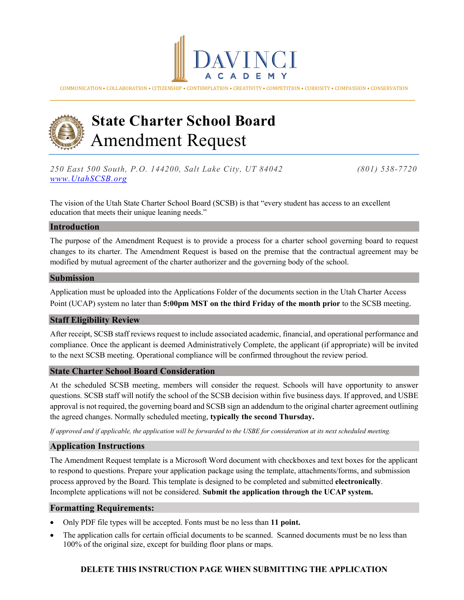

COMMUNICATION • COLLABORATION • CITIZENSHIP • CONTEMPLATION • CREATIVITY • COMPETITION • CURIOSITY • COMPASSION • CONSERVATION \_\_\_\_\_\_\_\_\_\_\_\_\_\_\_\_\_\_\_\_\_\_\_\_\_\_\_\_\_\_\_\_\_\_\_\_\_\_\_\_\_\_\_\_\_\_\_\_\_\_\_\_\_\_\_\_\_\_\_\_\_\_\_\_\_\_\_\_\_\_\_\_\_\_\_\_\_\_\_\_\_\_\_\_\_\_\_\_



# **State Charter School Board** Amendment Request

*250 East 500 South, P.O. 144200, Salt Lake City, UT 84042 (801) 538-7720 [www.UtahSCSB.org](http://www.utahscsb.org/)*

The vision of the Utah State Charter School Board (SCSB) is that "every student has access to an excellent education that meets their unique leaning needs."

#### **Introduction**

The purpose of the Amendment Request is to provide a process for a charter school governing board to request changes to its charter. The Amendment Request is based on the premise that the contractual agreement may be modified by mutual agreement of the charter authorizer and the governing body of the school.

#### **Submission**

Application must be uploaded into the Applications Folder of the documents section in the Utah Charter Access Point (UCAP) system no later than **5:00pm MST on the third Friday of the month prior** to the SCSB meeting.

#### **Staff Eligibility Review**

After receipt, SCSB staff reviews request to include associated academic, financial, and operational performance and compliance. Once the applicant is deemed Administratively Complete, the applicant (if appropriate) will be invited to the next SCSB meeting. Operational compliance will be confirmed throughout the review period.

#### **State Charter School Board Consideration**

At the scheduled SCSB meeting, members will consider the request. Schools will have opportunity to answer questions. SCSB staff will notify the school of the SCSB decision within five business days. If approved, and USBE approval is not required, the governing board and SCSB sign an addendum to the original charter agreement outlining the agreed changes. Normally scheduled meeting, **typically the second Thursday.**

*If approved and if applicable, the application will be forwarded to the USBE for consideration at its next scheduled meeting.*

#### **Application Instructions**

The Amendment Request template is a Microsoft Word document with checkboxes and text boxes for the applicant to respond to questions. Prepare your application package using the template, attachments/forms, and submission process approved by the Board. This template is designed to be completed and submitted **electronically**. Incomplete applications will not be considered. **Submit the application through the UCAP system.**

#### **Formatting Requirements:**

- Only PDF file types will be accepted. Fonts must be no less than **11 point.**
- The application calls for certain official documents to be scanned. Scanned documents must be no less than 100% of the original size, except for building floor plans or maps.

#### **DELETE THIS INSTRUCTION PAGE WHEN SUBMITTING THE APPLICATION**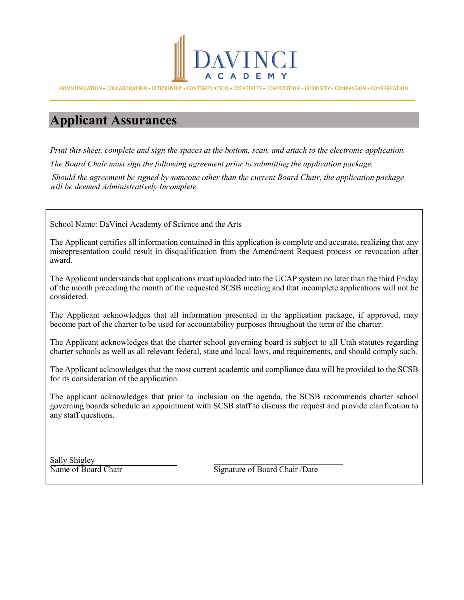

COMMUNICATION • COLLABORATION • CITIZENSHIP • CONTEMPLATION • CREATIVITY • COMPETITION • CURIOSITY • COMPASSION • CONSERVATION \_\_\_\_\_\_\_\_\_\_\_\_\_\_\_\_\_\_\_\_\_\_\_\_\_\_\_\_\_\_\_\_\_\_\_\_\_\_\_\_\_\_\_\_\_\_\_\_\_\_\_\_\_\_\_\_\_\_\_\_\_\_\_\_\_\_\_\_\_\_\_\_\_\_\_\_\_\_\_\_\_\_\_\_\_\_\_\_

# **Applicant Assurances**

*Print this sheet, complete and sign the spaces at the bottom, scan, and attach to the electronic application.* 

*The Board Chair must sign the following agreement prior to submitting the application package.*

*Should the agreement be signed by someone other than the current Board Chair, the application package will be deemed Administratively Incomplete.*

School Name: DaVinci Academy of Science and the Arts

The Applicant certifies all information contained in this application is complete and accurate, realizing that any misrepresentation could result in disqualification from the Amendment Request process or revocation after award.

The Applicant understands that applications must uploaded into the UCAP system no later than the third Friday of the month preceding the month of the requested SCSB meeting and that incomplete applications will not be considered.

The Applicant acknowledges that all information presented in the application package, if approved, may become part of the charter to be used for accountability purposes throughout the term of the charter.

The Applicant acknowledges that the charter school governing board is subject to all Utah statutes regarding charter schools as well as all relevant federal, state and local laws, and requirements, and should comply such.

The Applicant acknowledges that the most current academic and compliance data will be provided to the SCSB for its consideration of the application.

The applicant acknowledges that prior to inclusion on the agenda, the SCSB recommends charter school governing boards schedule an appointment with SCSB staff to discuss the request and provide clarification to any staff questions.

Sally Shigley<br>Name of Board Chair

Signature of Board Chair /Date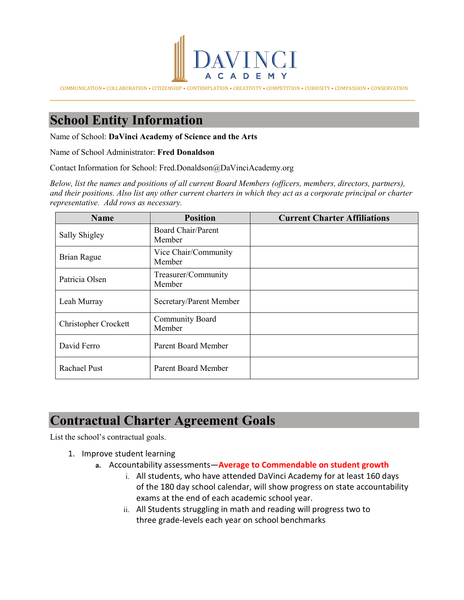

COMMUNICATION • COLLABORATION • CITIZENSHIP • CONTEMPLATION • CREATIVITY • COMPETITION • CURIOSITY • COMPASSION • CONSERVATION \_\_\_\_\_\_\_\_\_\_\_\_\_\_\_\_\_\_\_\_\_\_\_\_\_\_\_\_\_\_\_\_\_\_\_\_\_\_\_\_\_\_\_\_\_\_\_\_\_\_\_\_\_\_\_\_\_\_\_\_\_\_\_\_\_\_\_\_\_\_\_\_\_\_\_\_\_\_\_\_\_\_\_\_\_\_\_\_

# **School Entity Information**

Name of School: **DaVinci Academy of Science and the Arts**

Name of School Administrator: **Fred Donaldson**

Contact Information for School: Fred.Donaldson@DaVinciAcademy.org

*Below, list the names and positions of all current Board Members (officers, members, directors, partners), and their positions. Also list any other current charters in which they act as a corporate principal or charter representative. Add rows as necessary.*

| <b>Name</b>          | <b>Position</b>                     | <b>Current Charter Affiliations</b> |  |  |  |  |  |
|----------------------|-------------------------------------|-------------------------------------|--|--|--|--|--|
| Sally Shigley        | <b>Board Chair/Parent</b><br>Member |                                     |  |  |  |  |  |
| Brian Rague          | Vice Chair/Community<br>Member      |                                     |  |  |  |  |  |
| Patricia Olsen       | Treasurer/Community<br>Member       |                                     |  |  |  |  |  |
| Leah Murray          | Secretary/Parent Member             |                                     |  |  |  |  |  |
| Christopher Crockett | Community Board<br>Member           |                                     |  |  |  |  |  |
| David Ferro          | <b>Parent Board Member</b>          |                                     |  |  |  |  |  |
| Rachael Pust         | <b>Parent Board Member</b>          |                                     |  |  |  |  |  |

# **Contractual Charter Agreement Goals**

List the school's contractual goals.

- 1. Improve student learning
	- **a.** Accountability assessments—**Average to Commendable on student growth**
		- i. All students, who have attended DaVinci Academy for at least 160 days of the 180 day school calendar, will show progress on state accountability exams at the end of each academic school year.
		- ii. All Students struggling in math and reading will progress two to three grade-levels each year on school benchmarks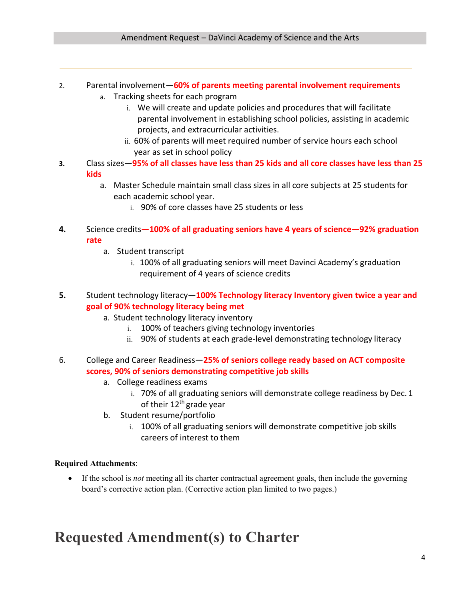- 2. Parental involvement—**60% of parents meeting parental involvement requirements**
	- a. Tracking sheets for each program
		- i. We will create and update policies and procedures that will facilitate parental involvement in establishing school policies, assisting in academic projects, and extracurricular activities.
		- ii. 60% of parents will meet required number of service hours each school year as set in school policy
- **3.** Class sizes—**95% of all classes have less than 25 kids and all core classes have less than 25 kids**
	- a. Master Schedule maintain small class sizes in all core subjects at 25 studentsfor each academic school year.
		- i. 90% of core classes have 25 students or less
- **4.** Science credits**—100% of all graduating seniors have 4 years of science—92% graduation rate**
	- a. Student transcript
		- i. 100% of all graduating seniors will meet Davinci Academy's graduation requirement of 4 years of science credits
- **5.** Student technology literacy—**100% Technology literacy Inventory given twice a year and goal of 90% technology literacy being met**
	- a. Student technology literacy inventory
		- i. 100% of teachers giving technology inventories
		- ii. 90% of students at each grade-level demonstrating technology literacy
- 6. College and Career Readiness—**25% of seniors college ready based on ACT composite scores, 90% of seniors demonstrating competitive job skills**
	- a. College readiness exams
		- i. 70% of all graduating seniors will demonstrate college readiness by Dec. 1 of their  $12<sup>th</sup>$  grade year
	- b. Student resume/portfolio
		- i. 100% of all graduating seniors will demonstrate competitive job skills careers of interest to them

### **Required Attachments**:

• If the school is *not* meeting all its charter contractual agreement goals, then include the governing board's corrective action plan. (Corrective action plan limited to two pages.)

# **Requested Amendment(s) to Charter**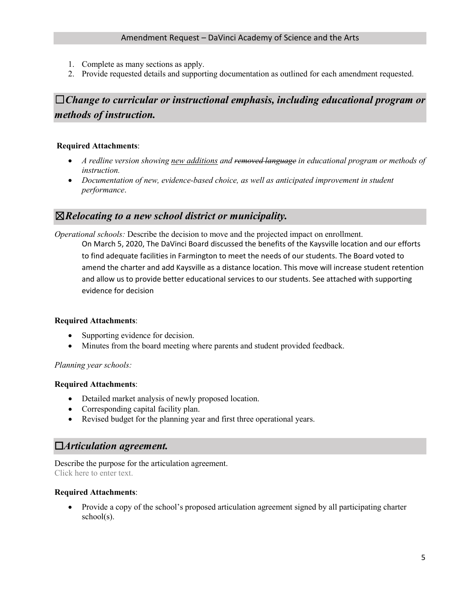- 1. Complete as many sections as apply.
- 2. Provide requested details and supporting documentation as outlined for each amendment requested.

# ☐*Change to curricular or instructional emphasis, including educational program or methods of instruction.*

#### **Required Attachments**:

- *A redline version showing new additions and removed language in educational program or methods of instruction.*
- *Documentation of new, evidence-based choice, as well as anticipated improvement in student performance*.

## ☒*Relocating to a new school district or municipality.*

*Operational schools:* Describe the decision to move and the projected impact on enrollment. On March 5, 2020, The DaVinci Board discussed the benefits of the Kaysville location and our efforts to find adequate facilities in Farmington to meet the needs of our students. The Board voted to amend the charter and add Kaysville as a distance location. This move will increase student retention and allow us to provide better educational services to our students. See attached with supporting evidence for decision

#### **Required Attachments**:

- Supporting evidence for decision.
- Minutes from the board meeting where parents and student provided feedback.

#### *Planning year schools:*

#### **Required Attachments**:

- Detailed market analysis of newly proposed location.
- Corresponding capital facility plan.
- Revised budget for the planning year and first three operational years.

### ☐*Articulation agreement.*

Describe the purpose for the articulation agreement. Click here to enter text.

#### **Required Attachments**:

• Provide a copy of the school's proposed articulation agreement signed by all participating charter school(s).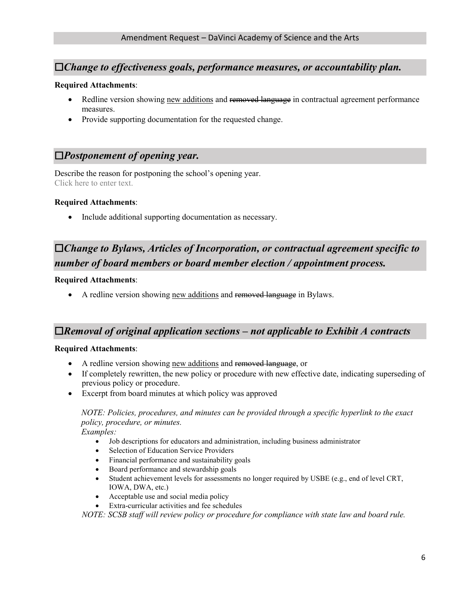## ☐*Change to effectiveness goals, performance measures, or accountability plan.*

#### **Required Attachments**:

- Redline version showing new additions and removed language in contractual agreement performance measures.
- Provide supporting documentation for the requested change.

## ☐*Postponement of opening year.*

Describe the reason for postponing the school's opening year. Click here to enter text.

#### **Required Attachments**:

• Include additional supporting documentation as necessary.

# ☐*Change to Bylaws, Articles of Incorporation, or contractual agreement specific to number of board members or board member election / appointment process.*

#### **Required Attachments**:

• A redline version showing new additions and removed language in Bylaws.

## ☐*Removal of original application sections – not applicable to Exhibit A contracts*

#### **Required Attachments**:

- A redline version showing new additions and removed language, or
- If completely rewritten, the new policy or procedure with new effective date, indicating superseding of previous policy or procedure.
- Excerpt from board minutes at which policy was approved

# *NOTE: Policies, procedures, and minutes can be provided through a specific hyperlink to the exact policy, procedure, or minutes.*

*Examples:* 

- Job descriptions for educators and administration, including business administrator
- Selection of Education Service Providers
- Financial performance and sustainability goals
- Board performance and stewardship goals
- Student achievement levels for assessments no longer required by USBE (e.g., end of level CRT, IOWA, DWA, etc.)
- Acceptable use and social media policy
- Extra-curricular activities and fee schedules

*NOTE: SCSB staff will review policy or procedure for compliance with state law and board rule.*